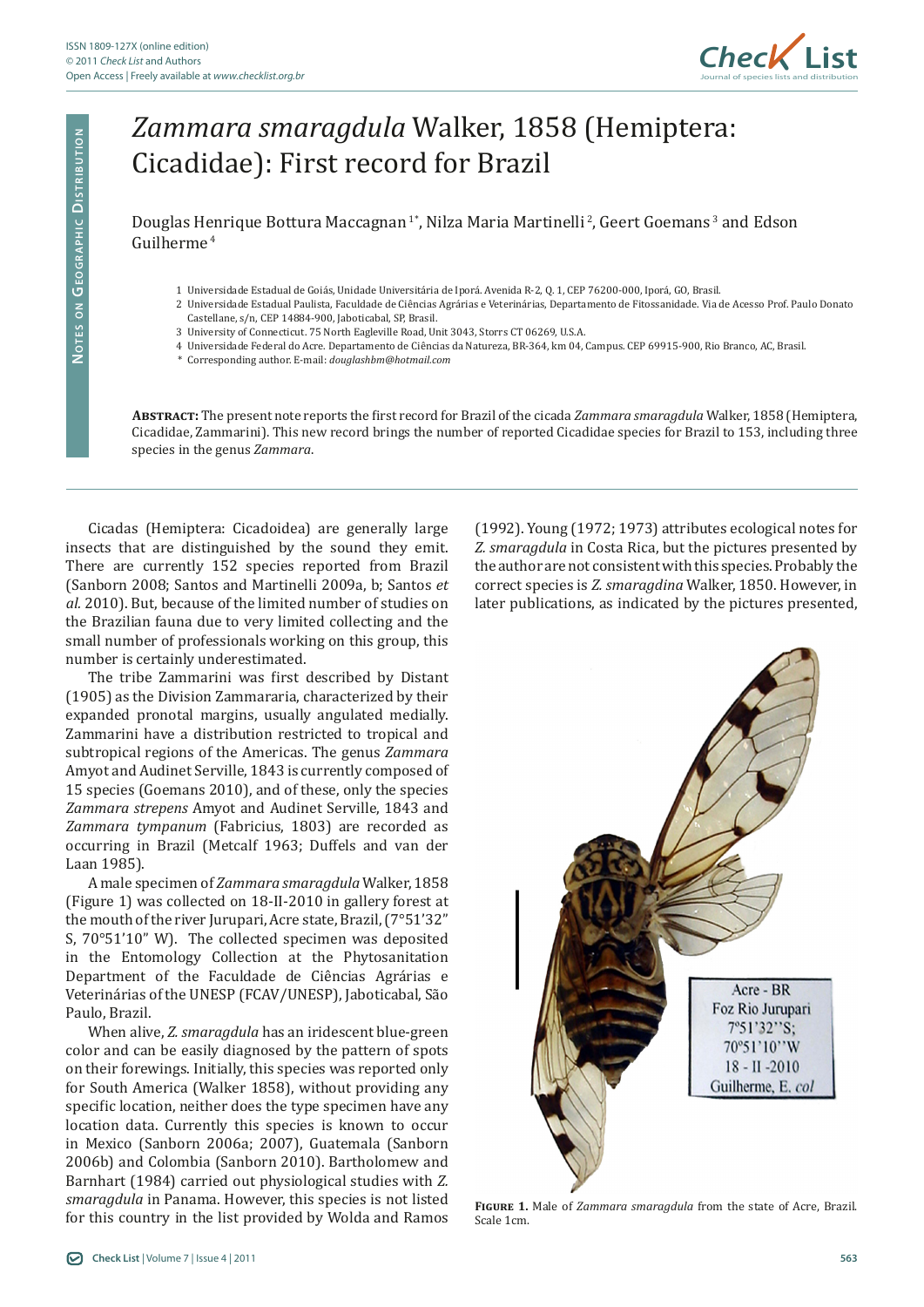

## *Zammara smaragdula* Walker, 1858 (Hemiptera: Cicadidae): First record for Brazil

Douglas Henrique Bottura Maccagnan<sup>1</sup>\*, Nilza Maria Martinelli<sup>2</sup>, Geert Goemans<sup>3</sup> and Edson Guilherme 4

- 1 Universidade Estadual de Goiás, Unidade Universitária de Iporá. Avenida R-2, Q. 1, CEP 76200-000, Iporá, GO, Brasil.
- 2 Universidade Estadual Paulista, Faculdade de Ciências Agrárias e Veterinárias, Departamento de Fitossanidade. Via de Acesso Prof. Paulo Donato Castellane, s/n, CEP 14884-900, Jaboticabal, SP, Brasil.
- 3 University of Connecticut. 75 North Eagleville Road, Unit 3043, Storrs CT 06269, U.S.A.
- 4 Universidade Federal do Acre. Departamento de Ciências da Natureza, BR-364, km 04, Campus. CEP 69915-900, Rio Branco, AC, Brasil.
- \* Corresponding author. E-mail: *douglashbm@hotmail.com*

**Abstract:** The present note reports the first record for Brazil of the cicada *Zammara smaragdula* Walker, 1858 (Hemiptera, Cicadidae, Zammarini). This new record brings the number of reported Cicadidae species for Brazil to 153, including three species in the genus *Zammara*.

Cicadas (Hemiptera: Cicadoidea) are generally large insects that are distinguished by the sound they emit. There are currently 152 species reported from Brazil (Sanborn 2008; Santos and Martinelli 2009a, b; Santos *et al.* 2010). But, because of the limited number of studies on the Brazilian fauna due to very limited collecting and the small number of professionals working on this group, this number is certainly underestimated.

The tribe Zammarini was first described by Distant (1905) as the Division Zammararia, characterized by their expanded pronotal margins, usually angulated medially. Zammarini have a distribution restricted to tropical and subtropical regions of the Americas. The genus *Zammara* Amyot and Audinet Serville, 1843 is currently composed of 15 species (Goemans 2010), and of these, only the species *Zammara strepens* Amyot and Audinet Serville, 1843 and *Zammara tympanum* (Fabricius, 1803) are recorded as occurring in Brazil (Metcalf 1963; Duffels and van der Laan 1985).

A male specimen of *Zammara smaragdula* Walker, 1858 (Figure 1) was collected on 18-II-2010 in gallery forest at the mouth of the river Jurupari, Acre state, Brazil, (7°51'32" S, 70°51'10" W). The collected specimen was deposited in the Entomology Collection at the Phytosanitation Department of the Faculdade de Ciências Agrárias e Veterinárias of the UNESP (FCAV/UNESP), Jaboticabal, São Paulo, Brazil.

When alive, *Z. smaragdula* has an iridescent blue-green color and can be easily diagnosed by the pattern of spots on their forewings. Initially, this species was reported only for South America (Walker 1858), without providing any specific location, neither does the type specimen have any location data. Currently this species is known to occur in Mexico (Sanborn 2006a; 2007), Guatemala (Sanborn 2006b) and Colombia (Sanborn 2010). Bartholomew and Barnhart (1984) carried out physiological studies with *Z. smaragdula* in Panama. However, this species is not listed for this country in the list provided by Wolda and Ramos

(1992). Young (1972; 1973) attributes ecological notes for *Z. smaragdula* in Costa Rica, but the pictures presented by the author are not consistent with this species. Probably the correct species is *Z. smaragdina* Walker, 1850. However, in later publications, as indicated by the pictures presented,



**Figure 1.** Male of *Zammara smaragdula* from the state of Acre, Brazil. Scale 1cm.